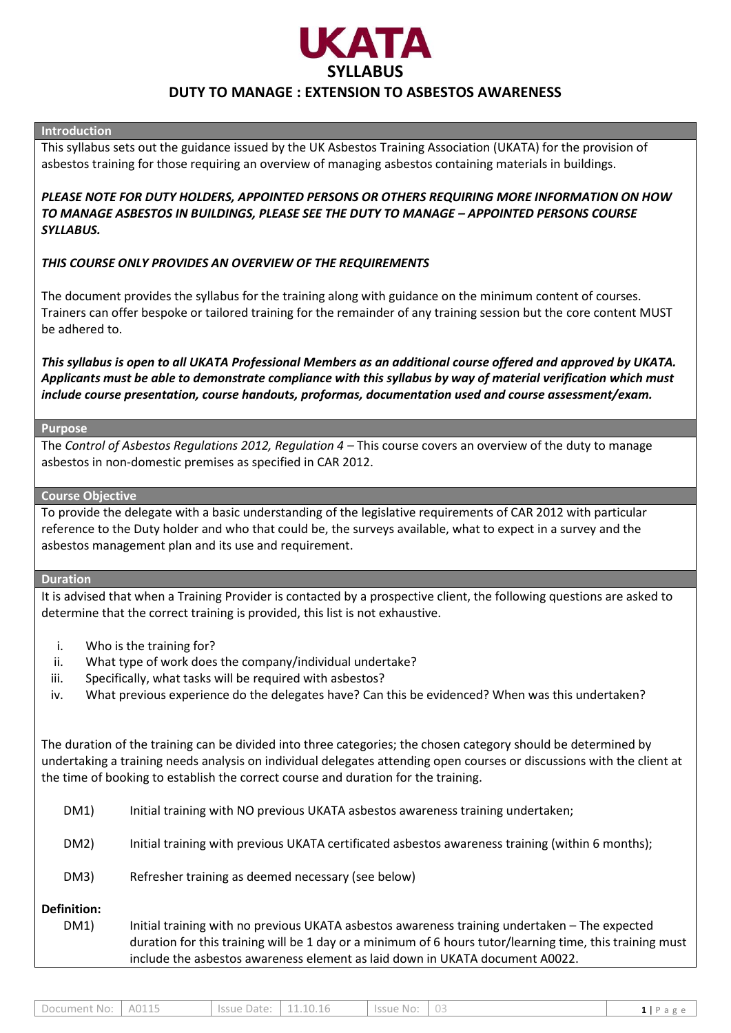

### **Introduction**

This syllabus sets out the guidance issued by the UK Asbestos Training Association (UKATA) for the provision of asbestos training for those requiring an overview of managing asbestos containing materials in buildings.

*PLEASE NOTE FOR DUTY HOLDERS, APPOINTED PERSONS OR OTHERS REQUIRING MORE INFORMATION ON HOW*  **TO MANAGE ASBESTOS IN BUILDINGS, PLEASE SEE THE DUTY TO MANAGE – APPOINTED PERSONS COURSE** *SYLLABUS.* 

## *THIS COURSE ONLY PROVIDES AN OVERVIEW OF THE REQUIREMENTS*

The document provides the syllabus for the training along with guidance on the minimum content of courses. Trainers can offer bespoke or tailored training for the remainder of any training session but the core content MUST be adhered to.

*This syllabus is open to all UKATA Professional Members as an additional course offered and approved by UKATA. Applicants must be able to demonstrate compliance with this syllabus by way of material verification which must include course presentation, course handouts, proformas, documentation used and course assessment/exam.*

### **Purpose**

The *Control of Asbestos Regulations 2012, Regulation 4 –* This course covers an overview of the duty to manage asbestos in non-domestic premises as specified in CAR 2012.

### **Course Objective**

To provide the delegate with a basic understanding of the legislative requirements of CAR 2012 with particular reference to the Duty holder and who that could be, the surveys available, what to expect in a survey and the asbestos management plan and its use and requirement.

## **Duration**

It is advised that when a Training Provider is contacted by a prospective client, the following questions are asked to determine that the correct training is provided, this list is not exhaustive.

- i. Who is the training for?
- ii. What type of work does the company/individual undertake?
- iii. Specifically, what tasks will be required with asbestos?
- iv. What previous experience do the delegates have? Can this be evidenced? When was this undertaken?

The duration of the training can be divided into three categories; the chosen category should be determined by undertaking a training needs analysis on individual delegates attending open courses or discussions with the client at the time of booking to establish the correct course and duration for the training.

| DM1)                       | Initial training with NO previous UKATA asbestos awareness training undertaken;                                                                                                                                                                                                           |
|----------------------------|-------------------------------------------------------------------------------------------------------------------------------------------------------------------------------------------------------------------------------------------------------------------------------------------|
| DM2)                       | Initial training with previous UKATA certificated asbestos awareness training (within 6 months);                                                                                                                                                                                          |
| DM3)                       | Refresher training as deemed necessary (see below)                                                                                                                                                                                                                                        |
| <b>Definition:</b><br>DM1) | Initial training with no previous UKATA asbestos awareness training undertaken - The expected<br>duration for this training will be 1 day or a minimum of 6 hours tutor/learning time, this training must<br>include the asbestos awareness element as laid down in UKATA document A0022. |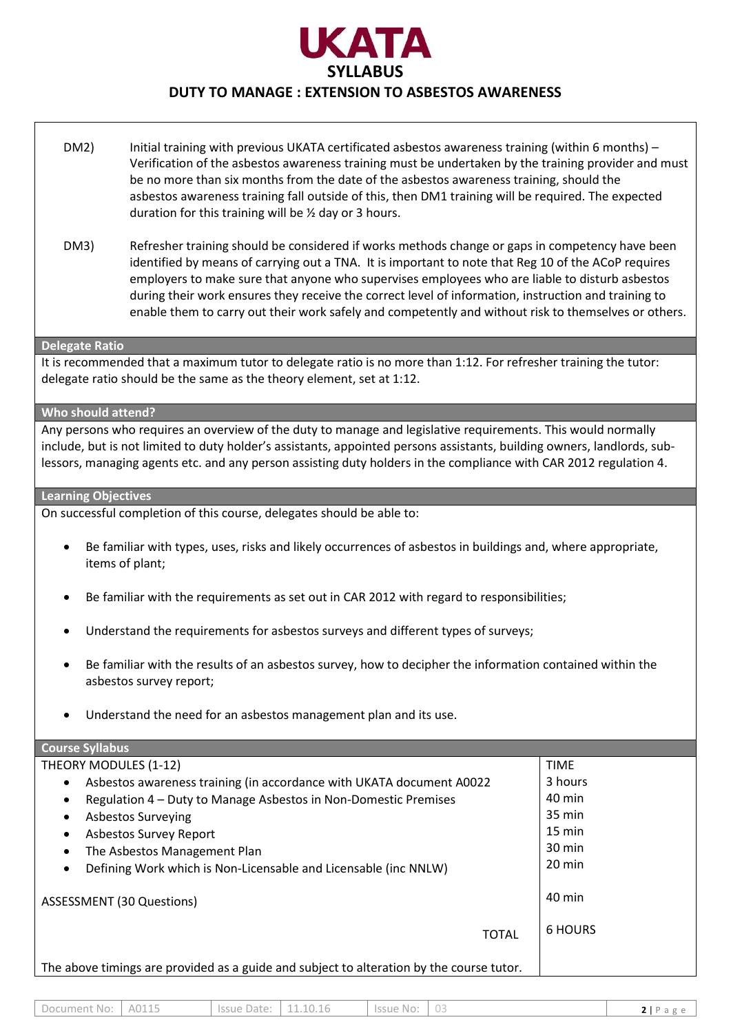

- DM2) Initial training with previous UKATA certificated asbestos awareness training (within 6 months) Verification of the asbestos awareness training must be undertaken by the training provider and must be no more than six months from the date of the asbestos awareness training, should the asbestos awareness training fall outside of this, then DM1 training will be required. The expected duration for this training will be ½ day or 3 hours.
- DM3) Refresher training should be considered if works methods change or gaps in competency have been identified by means of carrying out a TNA. It is important to note that Reg 10 of the ACoP requires employers to make sure that anyone who supervises employees who are liable to disturb asbestos during their work ensures they receive the correct level of information, instruction and training to enable them to carry out their work safely and competently and without risk to themselves or others.

#### **Delegate Ratio**

It is recommended that a maximum tutor to delegate ratio is no more than 1:12. For refresher training the tutor: delegate ratio should be the same as the theory element, set at 1:12.

#### **Who should attend?**

Any persons who requires an overview of the duty to manage and legislative requirements. This would normally include, but is not limited to duty holder's assistants, appointed persons assistants, building owners, landlords, sublessors, managing agents etc. and any person assisting duty holders in the compliance with CAR 2012 regulation 4.

#### **Learning Objectives**

On successful completion of this course, delegates should be able to:

- Be familiar with types, uses, risks and likely occurrences of asbestos in buildings and, where appropriate, items of plant;
- Be familiar with the requirements as set out in CAR 2012 with regard to responsibilities;
- Understand the requirements for asbestos surveys and different types of surveys;
- Be familiar with the results of an asbestos survey, how to decipher the information contained within the asbestos survey report;
- Understand the need for an asbestos management plan and its use.

| <b>Course Syllabus</b>                                                                   |                  |
|------------------------------------------------------------------------------------------|------------------|
| THEORY MODULES (1-12)                                                                    | <b>TIME</b>      |
| Asbestos awareness training (in accordance with UKATA document A0022<br>$\bullet$        | 3 hours          |
| Regulation 4 – Duty to Manage Asbestos in Non-Domestic Premises<br>$\bullet$             | 40 min           |
| <b>Asbestos Surveying</b><br>$\bullet$                                                   | 35 min           |
| Asbestos Survey Report<br>$\bullet$                                                      | $15 \text{ min}$ |
| The Asbestos Management Plan<br>$\bullet$                                                | $30 \text{ min}$ |
| Defining Work which is Non-Licensable and Licensable (inc NNLW)                          | $20 \text{ min}$ |
| <b>ASSESSMENT (30 Questions)</b>                                                         | $40 \text{ min}$ |
| <b>TOTAL</b>                                                                             | <b>6 HOURS</b>   |
| The above timings are provided as a guide and subject to alteration by the course tutor. |                  |

| A0115<br>Issue Date:<br>.1.10.16<br>Document No: '<br>. Issue No:<br>் பட |
|---------------------------------------------------------------------------|
|---------------------------------------------------------------------------|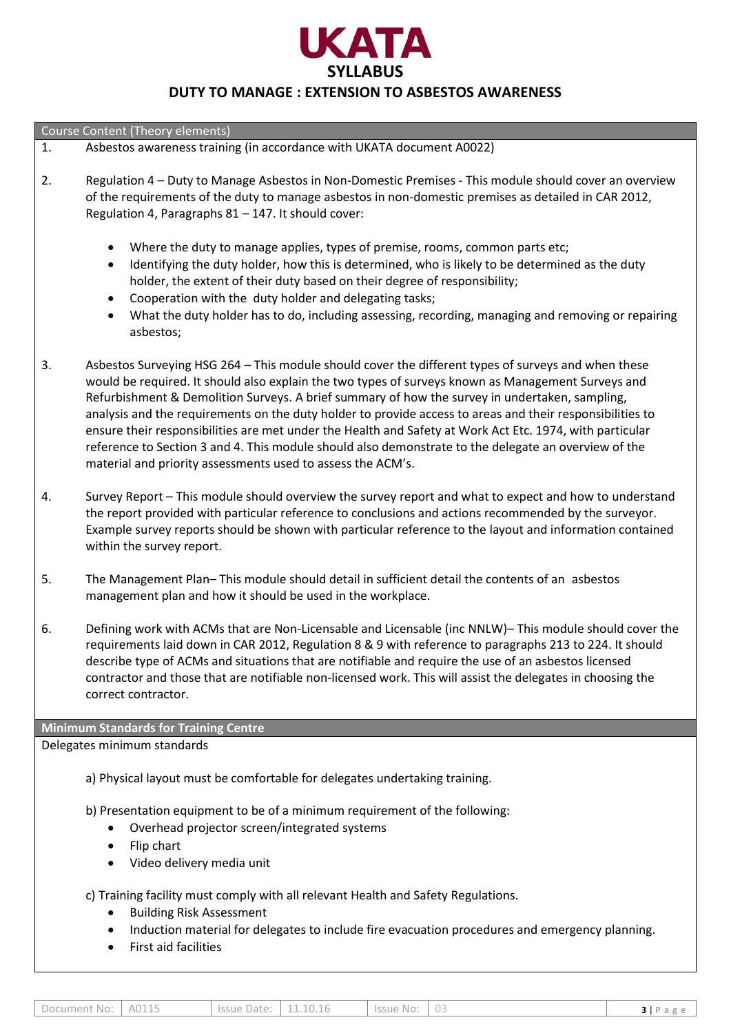

Course Content (Theory elements)

- 1. Asbestos awareness training (in accordance with UKATA document A0022)
- 2. Regulation 4 Duty to Manage Asbestos in Non-Domestic Premises This module should cover an overview of the requirements of the duty to manage asbestos in non-domestic premises as detailed in CAR 2012, Regulation 4, Paragraphs 81 – 147. It should cover:
	- Where the duty to manage applies, types of premise, rooms, common parts etc;
	- Identifying the duty holder, how this is determined, who is likely to be determined as the duty holder, the extent of their duty based on their degree of responsibility;
	- Cooperation with the duty holder and delegating tasks;
	- What the duty holder has to do, including assessing, recording, managing and removing or repairing asbestos;
- 3. Asbestos Surveying HSG 264 This module should cover the different types of surveys and when these would be required. It should also explain the two types of surveys known as Management Surveys and Refurbishment & Demolition Surveys. A brief summary of how the survey in undertaken, sampling, analysis and the requirements on the duty holder to provide access to areas and their responsibilities to ensure their responsibilities are met under the Health and Safety at Work Act Etc. 1974, with particular reference to Section 3 and 4. This module should also demonstrate to the delegate an overview of the material and priority assessments used to assess the ACM's.
- 4. Survey Report This module should overview the survey report and what to expect and how to understand the report provided with particular reference to conclusions and actions recommended by the surveyor. Example survey reports should be shown with particular reference to the layout and information contained within the survey report.
- 5. The Management Plan– This module should detail in sufficient detail the contents of an asbestos management plan and how it should be used in the workplace.
- 6. Defining work with ACMs that are Non-Licensable and Licensable (inc NNLW)– This module should cover the requirements laid down in CAR 2012, Regulation 8 & 9 with reference to paragraphs 213 to 224. It should describe type of ACMs and situations that are notifiable and require the use of an asbestos licensed contractor and those that are notifiable non-licensed work. This will assist the delegates in choosing the correct contractor.

**Minimum Standards for Training Centre**

Delegates minimum standards

a) Physical layout must be comfortable for delegates undertaking training.

b) Presentation equipment to be of a minimum requirement of the following:

- Overhead projector screen/integrated systems
- Flip chart
- Video delivery media unit

c) Training facility must comply with all relevant Health and Safety Regulations.

- Building Risk Assessment
- Induction material for delegates to include fire evacuation procedures and emergency planning.
- First aid facilities

| Document No: 1 A0115 | Issue Date: 11.10.16 | $\vert$ Issue No: $\vert$ 03 | $3 P \text{ agree}$ |
|----------------------|----------------------|------------------------------|---------------------|
|                      |                      |                              |                     |